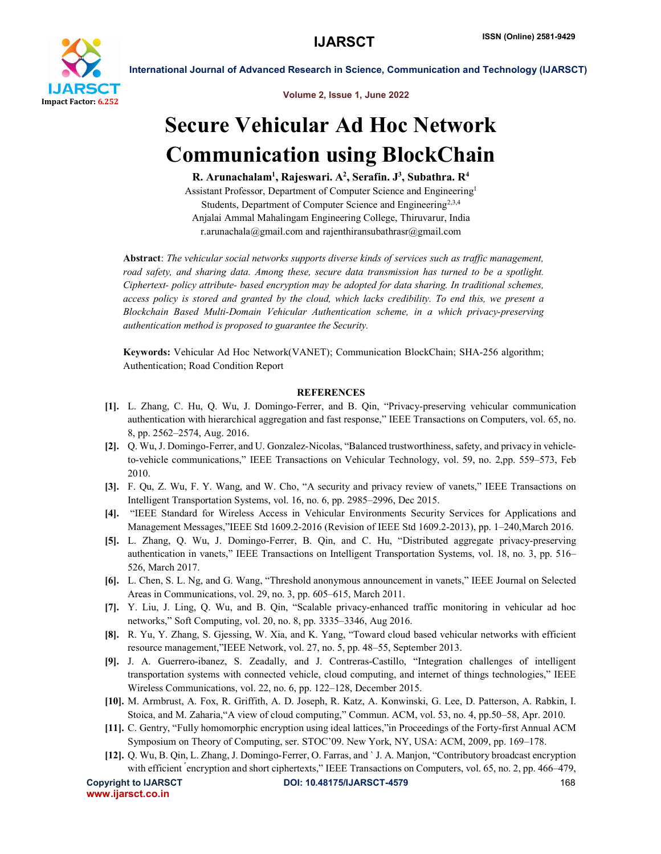

International Journal of Advanced Research in Science, Communication and Technology (IJARSCT)

Volume 2, Issue 1, June 2022

# Secure Vehicular Ad Hoc Network Communication using BlockChain

R. Arunachalam<sup>1</sup>, Rajeswari. A<sup>2</sup>, Serafin. J<sup>3</sup>, Subathra. R<sup>4</sup>

Assistant Professor, Department of Computer Science and Engineering1 Students, Department of Computer Science and Engineering<sup>2,3,4</sup> Anjalai Ammal Mahalingam Engineering College, Thiruvarur, India r.arunachala@gmail.com and rajenthiransubathrasr@gmail.com

Abstract: *The vehicular social networks supports diverse kinds of services such as traffic management, road safety, and sharing data. Among these, secure data transmission has turned to be a spotlight. Ciphertext- policy attribute- based encryption may be adopted for data sharing. In traditional schemes, access policy is stored and granted by the cloud, which lacks credibility. To end this, we present a Blockchain Based Multi-Domain Vehicular Authentication scheme, in a which privacy-preserving authentication method is proposed to guarantee the Security.*

Keywords: Vehicular Ad Hoc Network(VANET); Communication BlockChain; SHA-256 algorithm; Authentication; Road Condition Report

### **REFERENCES**

- [1]. L. Zhang, C. Hu, Q. Wu, J. Domingo-Ferrer, and B. Qin, "Privacy-preserving vehicular communication authentication with hierarchical aggregation and fast response," IEEE Transactions on Computers, vol. 65, no. 8, pp. 2562–2574, Aug. 2016.
- [2]. Q. Wu, J. Domingo-Ferrer, and U. Gonzalez-Nicolas, "Balanced trustworthiness, safety, and privacy in vehicleto-vehicle communications," IEEE Transactions on Vehicular Technology, vol. 59, no. 2,pp. 559–573, Feb 2010.
- [3]. F. Qu, Z. Wu, F. Y. Wang, and W. Cho, "A security and privacy review of vanets," IEEE Transactions on Intelligent Transportation Systems, vol. 16, no. 6, pp. 2985–2996, Dec 2015.
- [4]. "IEEE Standard for Wireless Access in Vehicular Environments Security Services for Applications and Management Messages,"IEEE Std 1609.2-2016 (Revision of IEEE Std 1609.2-2013), pp. 1–240,March 2016.
- [5]. L. Zhang, Q. Wu, J. Domingo-Ferrer, B. Qin, and C. Hu, "Distributed aggregate privacy-preserving authentication in vanets," IEEE Transactions on Intelligent Transportation Systems, vol. 18, no. 3, pp. 516– 526, March 2017.
- [6]. L. Chen, S. L. Ng, and G. Wang, "Threshold anonymous announcement in vanets," IEEE Journal on Selected Areas in Communications, vol. 29, no. 3, pp. 605–615, March 2011.
- [7]. Y. Liu, J. Ling, Q. Wu, and B. Qin, "Scalable privacy-enhanced traffic monitoring in vehicular ad hoc networks," Soft Computing, vol. 20, no. 8, pp. 3335–3346, Aug 2016.
- [8]. R. Yu, Y. Zhang, S. Gjessing, W. Xia, and K. Yang, "Toward cloud based vehicular networks with efficient resource management,"IEEE Network, vol. 27, no. 5, pp. 48–55, September 2013.
- [9]. J. A. Guerrero-ibanez, S. Zeadally, and J. Contreras-Castillo, "Integration challenges of intelligent transportation systems with connected vehicle, cloud computing, and internet of things technologies," IEEE Wireless Communications, vol. 22, no. 6, pp. 122–128, December 2015.
- [10]. M. Armbrust, A. Fox, R. Griffith, A. D. Joseph, R. Katz, A. Konwinski, G. Lee, D. Patterson, A. Rabkin, I. Stoica, and M. Zaharia,"A view of cloud computing," Commun. ACM, vol. 53, no. 4, pp.50–58, Apr. 2010.
- [11]. C. Gentry, "Fully homomorphic encryption using ideal lattices,"in Proceedings of the Forty-first Annual ACM Symposium on Theory of Computing, ser. STOC'09. New York, NY, USA: ACM, 2009, pp. 169–178.
- [12]. Q. Wu, B. Qin, L. Zhang, J. Domingo-Ferrer, O. Farras, and ` J. A. Manjon, "Contributory broadcast encryption with efficient <sup>*encryption and short ciphertexts*," IEEE Transactions on Computers, vol. 65, no. 2, pp. 466–479,</sup>

www.ijarsct.co.in